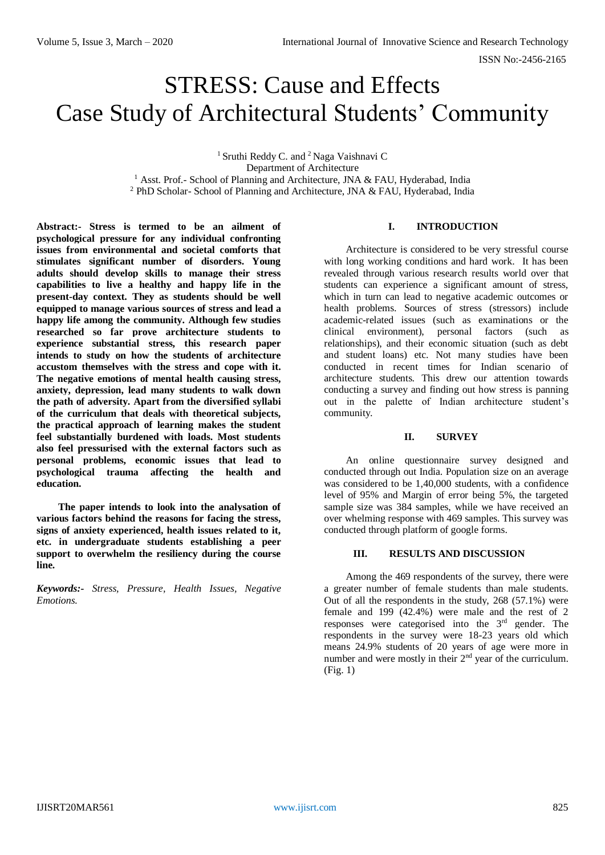# STRESS: Cause and Effects Case Study of Architectural Students' Community

<sup>1</sup> Sruthi Reddy C. and  $2$  Naga Vaishnavi C Department of Architecture <sup>1</sup> Asst. Prof.- School of Planning and Architecture, JNA & FAU, Hyderabad, India <sup>2</sup> PhD Scholar- School of Planning and Architecture, JNA  $\&$  FAU, Hyderabad, India

**Abstract:- Stress is termed to be an ailment of psychological pressure for any individual confronting issues from environmental and societal comforts that stimulates significant number of disorders. Young adults should develop skills to manage their stress capabilities to live a healthy and happy life in the present-day context. They as students should be well equipped to manage various sources of stress and lead a happy life among the community. Although few studies researched so far prove architecture students to experience substantial stress, this research paper intends to study on how the students of architecture accustom themselves with the stress and cope with it. The negative emotions of mental health causing stress, anxiety, depression, lead many students to walk down the path of adversity. Apart from the diversified syllabi of the curriculum that deals with theoretical subjects, the practical approach of learning makes the student feel substantially burdened with loads. Most students also feel pressurised with the external factors such as personal problems, economic issues that lead to psychological trauma affecting the health and education.** 

**The paper intends to look into the analysation of various factors behind the reasons for facing the stress, signs of anxiety experienced, health issues related to it, etc. in undergraduate students establishing a peer support to overwhelm the resiliency during the course line.**

*Keywords:- Stress, Pressure, Health Issues, Negative Emotions.* 

### **I. INTRODUCTION**

Architecture is considered to be very stressful course with long working conditions and hard work. It has been revealed through various research results world over that students can experience a significant amount of stress, which in turn can lead to negative academic outcomes or health problems. Sources of stress (stressors) include academic-related issues (such as examinations or the clinical environment), personal factors (such as relationships), and their economic situation (such as debt and student loans) etc. Not many studies have been conducted in recent times for Indian scenario of architecture students. This drew our attention towards conducting a survey and finding out how stress is panning out in the palette of Indian architecture student's community.

#### **II. SURVEY**

An online questionnaire survey designed and conducted through out India. Population size on an average was considered to be 1,40,000 students, with a confidence level of 95% and Margin of error being 5%, the targeted sample size was 384 samples, while we have received an over whelming response with 469 samples. This survey was conducted through platform of google forms.

#### **III. RESULTS AND DISCUSSION**

Among the 469 respondents of the survey, there were a greater number of female students than male students. Out of all the respondents in the study, 268 (57.1%) were female and 199 (42.4%) were male and the rest of 2 responses were categorised into the 3rd gender. The respondents in the survey were 18-23 years old which means 24.9% students of 20 years of age were more in number and were mostly in their  $2<sup>nd</sup>$  year of the curriculum. (Fig. 1)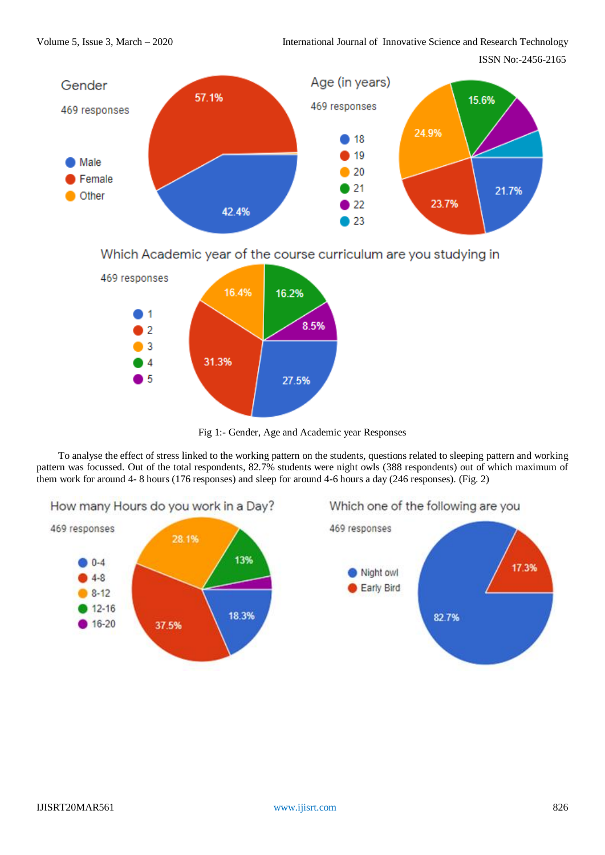Volume 5, Issue 3, March – 2020 International Journal of Innovative Science and Research Technology

ISSN No:-2456-2165



Which Academic year of the course curriculum are you studying in



Fig 1:- Gender, Age and Academic year Responses

To analyse the effect of stress linked to the working pattern on the students, questions related to sleeping pattern and working pattern was focussed. Out of the total respondents, 82.7% students were night owls (388 respondents) out of which maximum of them work for around 4- 8 hours (176 responses) and sleep for around 4-6 hours a day (246 responses). (Fig. 2)



# Which one of the following are you

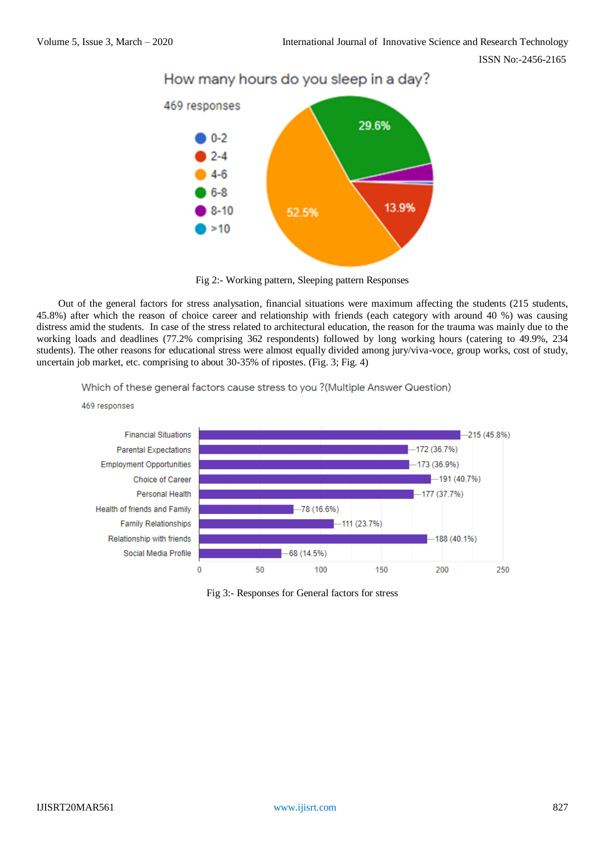ISSN No:-2456-2165



# How many hours do you sleep in a day?

Fig 2:- Working pattern, Sleeping pattern Responses

Out of the general factors for stress analysation, financial situations were maximum affecting the students (215 students, 45.8%) after which the reason of choice career and relationship with friends (each category with around 40 %) was causing distress amid the students. In case of the stress related to architectural education, the reason for the trauma was mainly due to the working loads and deadlines (77.2% comprising 362 respondents) followed by long working hours (catering to 49.9%, 234 students). The other reasons for educational stress were almost equally divided among jury/viva-voce, group works, cost of study, uncertain job market, etc. comprising to about 30-35% of ripostes. (Fig. 3; Fig. 4)

#### Which of these general factors cause stress to you ?(Multiple Answer Question)



Fig 3:- Responses for General factors for stress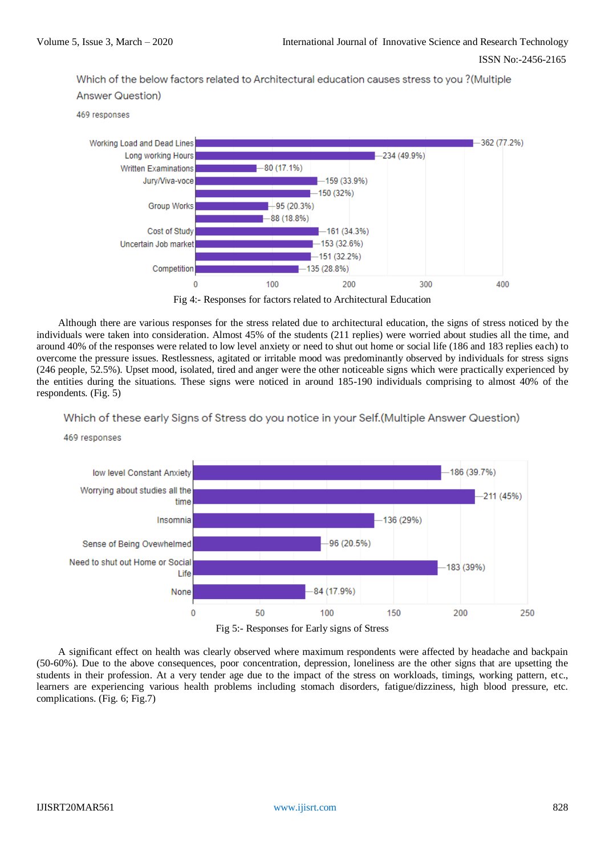ISSN No:-2456-2165

Which of the below factors related to Architectural education causes stress to you ? (Multiple **Answer Question)** 

469 responses

469 responses





Although there are various responses for the stress related due to architectural education, the signs of stress noticed by the individuals were taken into consideration. Almost 45% of the students (211 replies) were worried about studies all the time, and around 40% of the responses were related to low level anxiety or need to shut out home or social life (186 and 183 replies each) to overcome the pressure issues. Restlessness, agitated or irritable mood was predominantly observed by individuals for stress signs (246 people, 52.5%). Upset mood, isolated, tired and anger were the other noticeable signs which were practically experienced by the entities during the situations. These signs were noticed in around 185-190 individuals comprising to almost 40% of the respondents. (Fig. 5)

## Which of these early Signs of Stress do you notice in your Self. (Multiple Answer Question)



Fig 5:- Responses for Early signs of Stress

A significant effect on health was clearly observed where maximum respondents were affected by headache and backpain (50-60%). Due to the above consequences, poor concentration, depression, loneliness are the other signs that are upsetting the students in their profession. At a very tender age due to the impact of the stress on workloads, timings, working pattern, etc., learners are experiencing various health problems including stomach disorders, fatigue/dizziness, high blood pressure, etc. complications. (Fig. 6; Fig.7)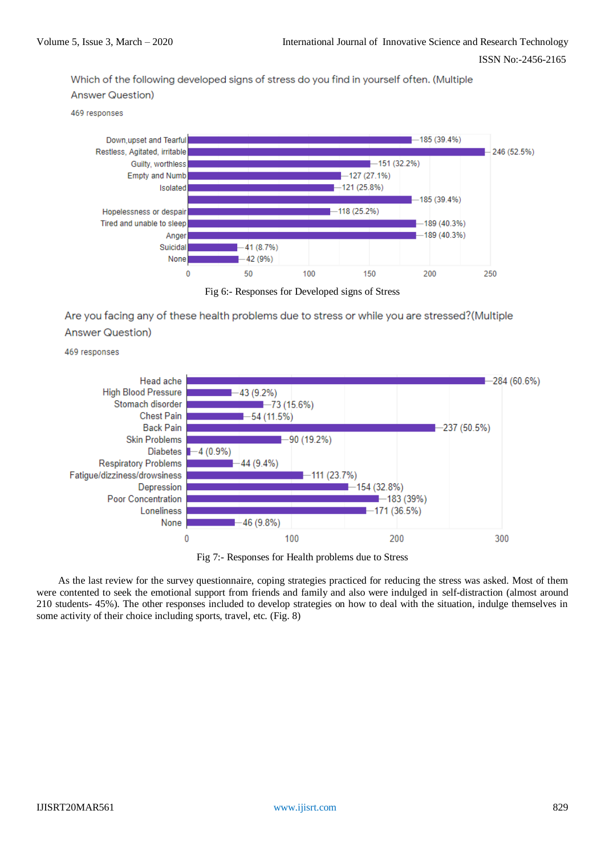ISSN No:-2456-2165

Which of the following developed signs of stress do you find in yourself often. (Multiple **Answer Question)** 

469 responses



Fig 6:- Responses for Developed signs of Stress

Are you facing any of these health problems due to stress or while you are stressed?(Multiple **Answer Question)** 

469 responses



Fig 7:- Responses for Health problems due to Stress

As the last review for the survey questionnaire, coping strategies practiced for reducing the stress was asked. Most of them were contented to seek the emotional support from friends and family and also were indulged in self-distraction (almost around 210 students- 45%). The other responses included to develop strategies on how to deal with the situation, indulge themselves in some activity of their choice including sports, travel, etc. (Fig. 8)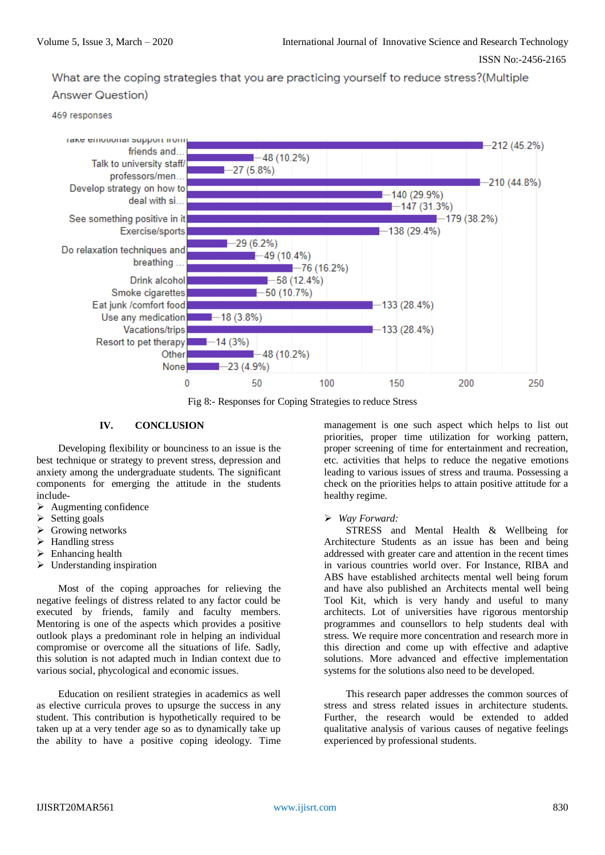What are the coping strategies that you are practicing yourself to reduce stress?(Multiple







Fig 8:- Responses for Coping Strategies to reduce Stress

# **IV. CONCLUSION**

Developing flexibility or bounciness to an issue is the best technique or strategy to prevent stress, depression and anxiety among the undergraduate students. The significant components for emerging the attitude in the students include-

- $\triangleright$  Augmenting confidence
- Setting goals
- Growing networks
- Handling stress
- $\triangleright$  Enhancing health
- $\triangleright$  Understanding inspiration

Most of the coping approaches for relieving the negative feelings of distress related to any factor could be executed by friends, family and faculty members. Mentoring is one of the aspects which provides a positive outlook plays a predominant role in helping an individual compromise or overcome all the situations of life. Sadly, this solution is not adapted much in Indian context due to various social, phycological and economic issues.

Education on resilient strategies in academics as well as elective curricula proves to upsurge the success in any student. This contribution is hypothetically required to be taken up at a very tender age so as to dynamically take up the ability to have a positive coping ideology. Time management is one such aspect which helps to list out priorities, proper time utilization for working pattern, proper screening of time for entertainment and recreation, etc. activities that helps to reduce the negative emotions leading to various issues of stress and trauma. Possessing a check on the priorities helps to attain positive attitude for a healthy regime.

# *Way Forward:*

STRESS and Mental Health & Wellbeing for Architecture Students as an issue has been and being addressed with greater care and attention in the recent times in various countries world over. For Instance, RIBA and ABS have established architects mental well being forum and have also published an Architects mental well being Tool Kit, which is very handy and useful to many architects. Lot of universities have rigorous mentorship programmes and counsellors to help students deal with stress. We require more concentration and research more in this direction and come up with effective and adaptive solutions. More advanced and effective implementation systems for the solutions also need to be developed.

This research paper addresses the common sources of stress and stress related issues in architecture students. Further, the research would be extended to added qualitative analysis of various causes of negative feelings experienced by professional students.